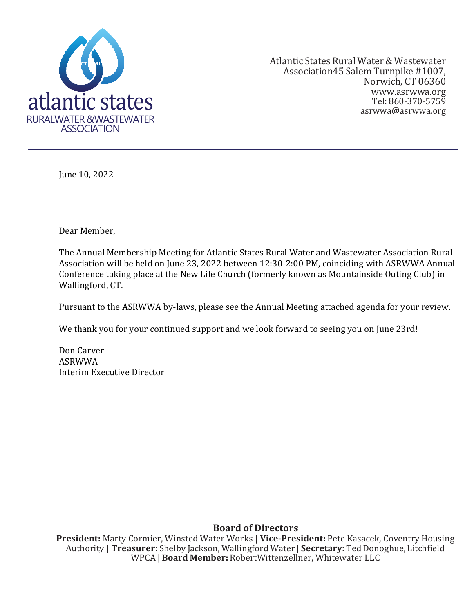

Atlantic States Rural Water& Wastewater Association45 Salem Turnpike #1007, Norwich, CT 06360 [www.asrwwa.org](http://www.asrwwa.org/) Tel: 860-370-5759 asrwwa@asrwwa.org

June 10, 2022

Dear Member,

The Annual Membership Meeting for Atlantic States Rural Water and Wastewater Association Rural Association will be held on June 23, 2022 between 12:30-2:00 PM, coinciding with ASRWWA Annual Conference taking place at the New Life Church (formerly known as Mountainside Outing Club) in Wallingford, CT.

Pursuant to the ASRWWA by-laws, please see the Annual Meeting attached agenda for your review.

We thank you for your continued support and we look forward to seeing you on June 23rd!

Don Carver ASRWWA Interim Executive Director

#### **Board of Directors**

**President:** Marty Cormier, Winsted Water Works | **Vice-President:** Pete Kasacek, Coventry Housing Authority | **Treasurer:** Shelby Jackson, Wallingford Water | **Secretary:** TedDonoghue, Litchfield WPCA | **Board Member:** RobertWittenzellner, Whitewater LLC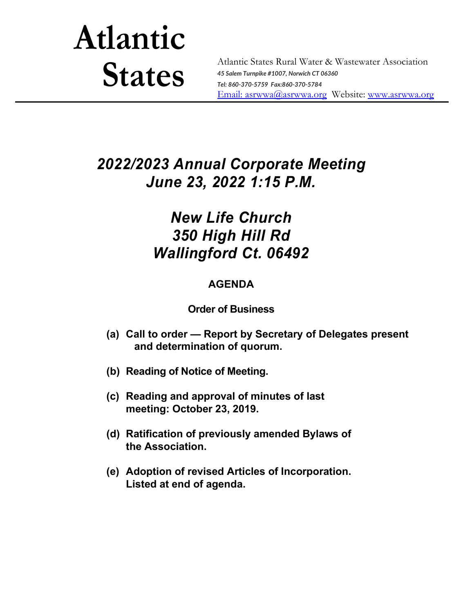# **Atlantic States**

Atlantic States Rural Water & Wastewater Association *45 Salem Turnpike #1007, Norwich CT 06360 Tel: 860-370-5759 Fax:860-370-5784* [Email: a](mailto:asrwwa@asrwwa.org)srwwa@asrwwa.org Website: [www.asrwwa.org](http://www.asrwwa.org/)

# *2022/2023 Annual Corporate Meeting June 23, 2022 1:15 P.M.*

## *New Life Church 350 High Hill Rd Wallingford Ct. 06492*

## **AGENDA**

### **Order of Business**

- **(a) Call to order — Report by Secretary of Delegates present and determination of quorum.**
- **(b) Reading of Notice of Meeting.**
- **(c) Reading and approval of minutes of last meeting: October 23, 2019.**
- **(d) Ratification of previously amended Bylaws of the Association.**
- **(e) Adoption of revised Articles of Incorporation. Listed at end of agenda.**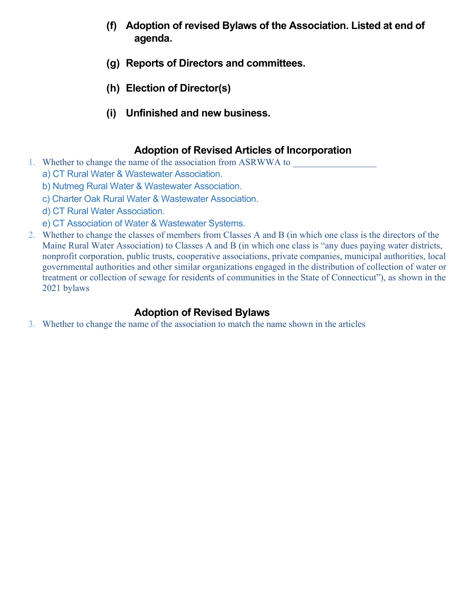- **(f) Adoption of revised Bylaws of the Association. Listed at end of agenda.**
- **(g) Reports of Directors and committees.**
- **(h) Election of Director(s)**
- **(i) Unfinished and new business.**

#### **Adoption of Revised Articles of Incorporation**

- 1. Whether to change the name of the association from ASRWWA to
	- a) CT Rural Water & Wastewater Association.
	- b) Nutmeg Rural Water & Wastewater Association.
	- c) Charter Oak Rural Water & Wastewater Association.
	- d) CT Rural Water Association.
	- e) CT Association of Water & Wastewater Systems.
- 2. Whether to change the classes of members from Classes A and B (in which one class is the directors of the Maine Rural Water Association) to Classes A and B (in which one class is "any dues paying water districts, nonprofit corporation, public trusts, cooperative associations, private companies, municipal authorities, local governmental authorities and other similar organizations engaged in the distribution of collection of water or treatment or collection of sewage for residents of communities in the State of Connecticut"), as shown in the 2021 bylaws

#### **Adoption of Revised Bylaws**

3. Whether to change the name of the association to match the name shown in the articles